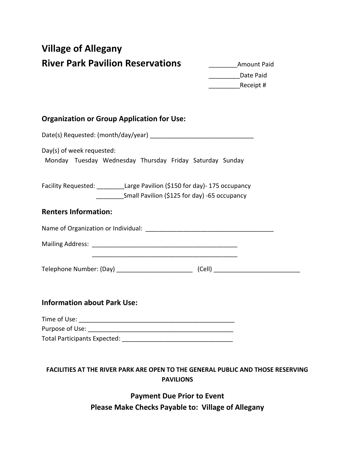## **Village of Allegany River Park Pavilion Reservations Amount Paid**

\_\_\_\_\_\_\_\_\_Date Paid \_\_\_\_\_\_\_\_\_Receipt #

## **Organization or Group Application for Use:**

| Day(s) of week requested:<br>Monday Tuesday Wednesday Thursday Friday Saturday Sunday                                                  |  |
|----------------------------------------------------------------------------------------------------------------------------------------|--|
| Facility Requested: _________Large Pavilion (\$150 for day)- 175 occupancy<br>____________Small Pavilion (\$125 for day) -65 occupancy |  |
| <b>Renters Information:</b>                                                                                                            |  |
|                                                                                                                                        |  |
|                                                                                                                                        |  |
|                                                                                                                                        |  |
| <b>Information about Park Use:</b>                                                                                                     |  |

| Time of Use:                 |
|------------------------------|
| Purpose of Use:              |
| Total Participants Expected: |

## **FACILITIES AT THE RIVER PARK ARE OPEN TO THE GENERAL PUBLIC AND THOSE RESERVING PAVILIONS**

**Payment Due Prior to Event Please Make Checks Payable to: Village of Allegany**